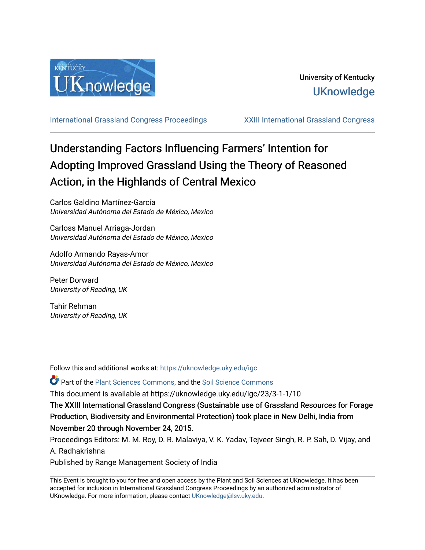

[International Grassland Congress Proceedings](https://uknowledge.uky.edu/igc) [XXIII International Grassland Congress](https://uknowledge.uky.edu/igc/23) 

# Understanding Factors Influencing Farmers' Intention for Adopting Improved Grassland Using the Theory of Reasoned Action, in the Highlands of Central Mexico

Carlos Galdino Martínez-García Universidad Autónoma del Estado de México, Mexico

Carloss Manuel Arriaga-Jordan Universidad Autónoma del Estado de México, Mexico

Adolfo Armando Rayas-Amor Universidad Autónoma del Estado de México, Mexico

Peter Dorward University of Reading, UK

Tahir Rehman University of Reading, UK

Follow this and additional works at: [https://uknowledge.uky.edu/igc](https://uknowledge.uky.edu/igc?utm_source=uknowledge.uky.edu%2Figc%2F23%2F3-1-1%2F10&utm_medium=PDF&utm_campaign=PDFCoverPages) 

**P** Part of the [Plant Sciences Commons](http://network.bepress.com/hgg/discipline/102?utm_source=uknowledge.uky.edu%2Figc%2F23%2F3-1-1%2F10&utm_medium=PDF&utm_campaign=PDFCoverPages), and the Soil Science Commons

This document is available at https://uknowledge.uky.edu/igc/23/3-1-1/10

The XXIII International Grassland Congress (Sustainable use of Grassland Resources for Forage Production, Biodiversity and Environmental Protection) took place in New Delhi, India from November 20 through November 24, 2015.

Proceedings Editors: M. M. Roy, D. R. Malaviya, V. K. Yadav, Tejveer Singh, R. P. Sah, D. Vijay, and A. Radhakrishna

Published by Range Management Society of India

This Event is brought to you for free and open access by the Plant and Soil Sciences at UKnowledge. It has been accepted for inclusion in International Grassland Congress Proceedings by an authorized administrator of UKnowledge. For more information, please contact [UKnowledge@lsv.uky.edu](mailto:UKnowledge@lsv.uky.edu).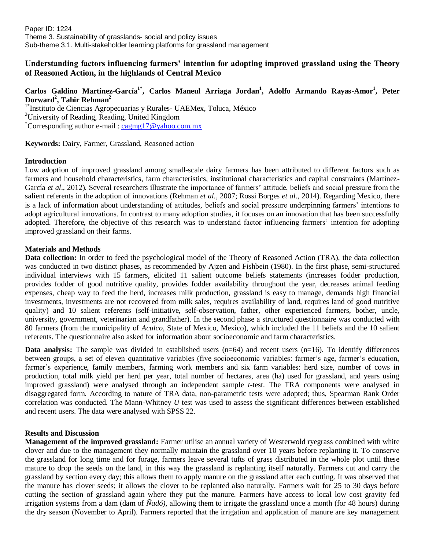Paper ID: 1224 Theme 3. Sustainability of grasslands- social and policy issues Sub-theme 3.1. Multi-stakeholder learning platforms for grassland management

## **Understanding factors influencing farmers' intention for adopting improved grassland using the Theory of Reasoned Action, in the highlands of Central Mexico**

# **Carlos Galdino Martínez-García1\* , Carlos Maneul Arriaga Jordan<sup>1</sup> , Adolfo Armando Rayas-Amor<sup>1</sup> , Peter Dorward<sup>2</sup> , Tahir Rehman<sup>2</sup>**

<sup>1\*</sup>Instituto de Ciencias Agropecuarias y Rurales- UAEMex, Toluca, México <sup>2</sup>University of Reading, Reading, United Kingdom \*Corresponding author e-mail : [cagmg17@yahoo.com.mx](mailto:cagmg17@yahoo.com.mx)

**Keywords:** Dairy, Farmer, Grassland, Reasoned action

### **Introduction**

Low adoption of improved grassland among small-scale dairy farmers has been attributed to different factors such as farmers and household characteristics, farm characteristics, institutional characteristics and capital constraints (Martínez-García *et al*., 2012). Several researchers illustrate the importance of farmers' attitude, beliefs and social pressure from the salient referents in the adoption of innovations (Rehman *et al.,* 2007; Rossi Borges *et al*., 2014). Regarding Mexico, there is a lack of information about understanding of attitudes, beliefs and social pressure underpinning farmers' intentions to adopt agricultural innovations. In contrast to many adoption studies, it focuses on an innovation that has been successfully adopted. Therefore, the objective of this research was to understand factor influencing farmers' intention for adopting improved grassland on their farms.

### **Materials and Methods**

**Data collection:** In order to feed the psychological model of the Theory of Reasoned Action (TRA), the data collection was conducted in two distinct phases, as recommended by Ajzen and Fishbein (1980). In the first phase, semi-structured individual interviews with 15 farmers, elicited 11 salient outcome beliefs statements (increases fodder production, provides fodder of good nutritive quality, provides fodder availability throughout the year, decreases animal feeding expenses, cheap way to feed the herd, increases milk production, grassland is easy to manage, demands high financial investments, investments are not recovered from milk sales, requires availability of land, requires land of good nutritive quality) and 10 salient referents (self-initiative, self-observation, father, other experienced farmers, bother, uncle, university, government, veterinarian and grandfather). In the second phase a structured questionnaire was conducted with 80 farmers (from the municipality of *Aculco*, State of Mexico, Mexico), which included the 11 beliefs and the 10 salient referents. The questionnaire also asked for information about socioeconomic and farm characteristics.

**Data analysis:** The sample was divided in established users (n=64) and recent users (n=16). To identify differences between groups, a set of eleven quantitative variables (five socioeconomic variables: farmer's age, farmer's education, farmer's experience, family members, farming work members and six farm variables: herd size, number of cows in production, total milk yield per herd per year, total number of hectares, area (ha) used for grassland, and years using improved grassland) were analysed through an independent sample *t*-test. The TRA components were analysed in disaggregated form. According to nature of TRA data, non-parametric tests were adopted; thus, Spearman Rank Order correlation was conducted. The Mann-Whitney *U* test was used to assess the significant differences between established and recent users. The data were analysed with SPSS 22.

#### **Results and Discussion**

**Management of the improved grassland:** Farmer utilise an annual variety of Westerwold ryegrass combined with white clover and due to the management they normally maintain the grassland over 10 years before replanting it. To conserve the grassland for long time and for forage, farmers leave several tufts of grass distributed in the whole plot until these mature to drop the seeds on the land, in this way the grassland is replanting itself naturally. Farmers cut and carry the grassland by section every day; this allows them to apply manure on the grassland after each cutting. It was observed that the manure has clover seeds; it allows the clover to be replanted also naturally. Farmers wait for 25 to 30 days before cutting the section of grassland again where they put the manure. Farmers have access to local low cost gravity fed irrigation systems from a dam (dam of *Ñadó)*, allowing them to irrigate the grassland once a month (for 48 hours) during the dry season (November to April). Farmers reported that the irrigation and application of manure are key management